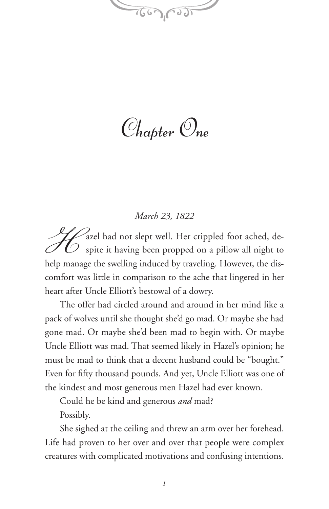$\sqrt{100}$ 

Chapter One

## *March 23, 1822*

 ${\mathscr D}$  azel had not slept well. Her crippled foot ached, despite it having been propped on a pillow all night to help manage the swelling induced by traveling. However, the discomfort was little in comparison to the ache that lingered in her heart after Uncle Elliott's bestowal of a dowry.

The offer had circled around and around in her mind like a pack of wolves until she thought she'd go mad. Or maybe she had gone mad. Or maybe she'd been mad to begin with. Or maybe Uncle Elliott was mad. That seemed likely in Hazel's opinion; he must be mad to think that a decent husband could be "bought." Even for fifty thousand pounds. And yet, Uncle Elliott was one of the kindest and most generous men Hazel had ever known.

Could he be kind and generous *and* mad?

Possibly.

She sighed at the ceiling and threw an arm over her forehead. Life had proven to her over and over that people were complex creatures with complicated motivations and confusing intentions.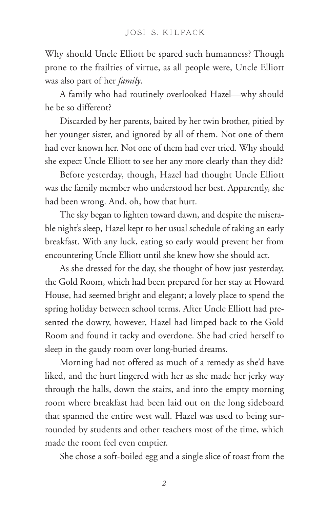Why should Uncle Elliott be spared such humanness? Though prone to the frailties of virtue, as all people were, Uncle Elliott was also part of her *family*.

A family who had routinely overlooked Hazel—why should he be so different?

Discarded by her parents, baited by her twin brother, pitied by her younger sister, and ignored by all of them. Not one of them had ever known her. Not one of them had ever tried. Why should she expect Uncle Elliott to see her any more clearly than they did?

Before yesterday, though, Hazel had thought Uncle Elliott was the family member who understood her best. Apparently, she had been wrong. And, oh, how that hurt.

The sky began to lighten toward dawn, and despite the miserable night's sleep, Hazel kept to her usual schedule of taking an early breakfast. With any luck, eating so early would prevent her from encountering Uncle Elliott until she knew how she should act.

As she dressed for the day, she thought of how just yesterday, the Gold Room, which had been prepared for her stay at Howard House, had seemed bright and elegant; a lovely place to spend the spring holiday between school terms. After Uncle Elliott had presented the dowry, however, Hazel had limped back to the Gold Room and found it tacky and overdone. She had cried herself to sleep in the gaudy room over long-buried dreams.

Morning had not offered as much of a remedy as she'd have liked, and the hurt lingered with her as she made her jerky way through the halls, down the stairs, and into the empty morning room where breakfast had been laid out on the long sideboard that spanned the entire west wall. Hazel was used to being surrounded by students and other teachers most of the time, which made the room feel even emptier.

She chose a soft-boiled egg and a single slice of toast from the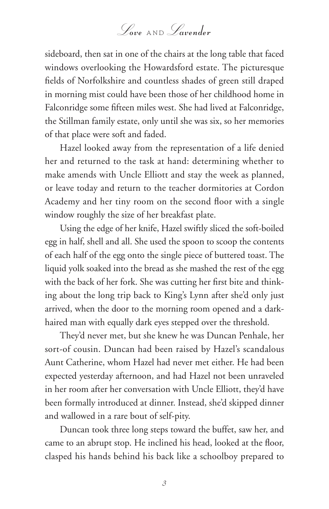

sideboard, then sat in one of the chairs at the long table that faced windows overlooking the Howardsford estate. The picturesque fields of Norfolkshire and countless shades of green still draped in morning mist could have been those of her childhood home in Falconridge some fifteen miles west. She had lived at Falconridge, the Stillman family estate, only until she was six, so her memories of that place were soft and faded.

Hazel looked away from the representation of a life denied her and returned to the task at hand: determining whether to make amends with Uncle Elliott and stay the week as planned, or leave today and return to the teacher dormitories at Cordon Academy and her tiny room on the second floor with a single window roughly the size of her breakfast plate.

Using the edge of her knife, Hazel swiftly sliced the soft-boiled egg in half, shell and all. She used the spoon to scoop the contents of each half of the egg onto the single piece of buttered toast. The liquid yolk soaked into the bread as she mashed the rest of the egg with the back of her fork. She was cutting her first bite and thinking about the long trip back to King's Lynn after she'd only just arrived, when the door to the morning room opened and a darkhaired man with equally dark eyes stepped over the threshold.

They'd never met, but she knew he was Duncan Penhale, her sort-of cousin. Duncan had been raised by Hazel's scandalous Aunt Catherine, whom Hazel had never met either. He had been expected yesterday afternoon, and had Hazel not been unraveled in her room after her conversation with Uncle Elliott, they'd have been formally introduced at dinner. Instead, she'd skipped dinner and wallowed in a rare bout of self-pity.

Duncan took three long steps toward the buffet, saw her, and came to an abrupt stop. He inclined his head, looked at the floor, clasped his hands behind his back like a schoolboy prepared to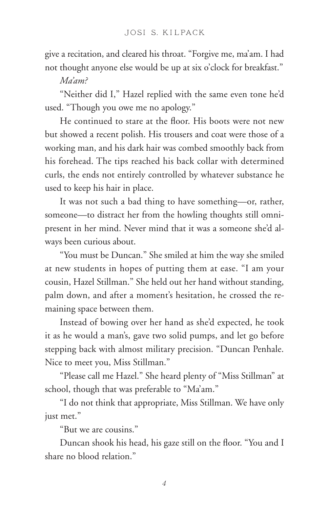give a recitation, and cleared his throat. "Forgive me, ma'am. I had not thought anyone else would be up at six o'clock for breakfast."

*Ma'am?*

"Neither did I," Hazel replied with the same even tone he'd used. "Though you owe me no apology."

He continued to stare at the floor. His boots were not new but showed a recent polish. His trousers and coat were those of a working man, and his dark hair was combed smoothly back from his forehead. The tips reached his back collar with determined curls, the ends not entirely controlled by whatever substance he used to keep his hair in place.

It was not such a bad thing to have something—or, rather, someone—to distract her from the howling thoughts still omnipresent in her mind. Never mind that it was a someone she'd always been curious about.

"You must be Duncan." She smiled at him the way she smiled at new students in hopes of putting them at ease. "I am your cousin, Hazel Stillman." She held out her hand without standing, palm down, and after a moment's hesitation, he crossed the remaining space between them.

Instead of bowing over her hand as she'd expected, he took it as he would a man's, gave two solid pumps, and let go before stepping back with almost military precision. "Duncan Penhale. Nice to meet you, Miss Stillman."

"Please call me Hazel." She heard plenty of "Miss Stillman" at school, though that was preferable to "Ma'am."

"I do not think that appropriate, Miss Stillman. We have only just met."

"But we are cousins."

Duncan shook his head, his gaze still on the floor. "You and I share no blood relation."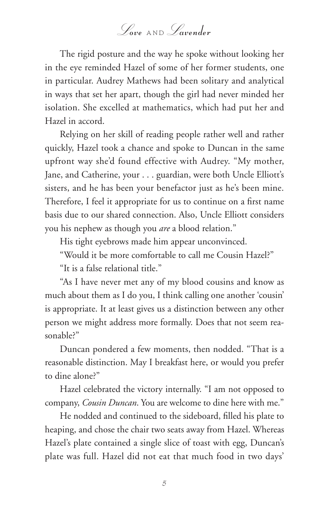Love AND Lavender

The rigid posture and the way he spoke without looking her in the eye reminded Hazel of some of her former students, one in particular. Audrey Mathews had been solitary and analytical in ways that set her apart, though the girl had never minded her isolation. She excelled at mathematics, which had put her and Hazel in accord.

Relying on her skill of reading people rather well and rather quickly, Hazel took a chance and spoke to Duncan in the same upfront way she'd found effective with Audrey. "My mother, Jane, and Catherine, your . . . guardian, were both Uncle Elliott's sisters, and he has been your benefactor just as he's been mine. Therefore, I feel it appropriate for us to continue on a first name basis due to our shared connection. Also, Uncle Elliott considers you his nephew as though you *are* a blood relation."

His tight eyebrows made him appear unconvinced.

"Would it be more comfortable to call me Cousin Hazel?"

"It is a false relational title."

"As I have never met any of my blood cousins and know as much about them as I do you, I think calling one another 'cousin' is appropriate. It at least gives us a distinction between any other person we might address more formally. Does that not seem reasonable?"

Duncan pondered a few moments, then nodded. "That is a reasonable distinction. May I breakfast here, or would you prefer to dine alone?"

Hazel celebrated the victory internally. "I am not opposed to company, *Cousin Duncan*. You are welcome to dine here with me."

He nodded and continued to the sideboard, filled his plate to heaping, and chose the chair two seats away from Hazel. Whereas Hazel's plate contained a single slice of toast with egg, Duncan's plate was full. Hazel did not eat that much food in two days'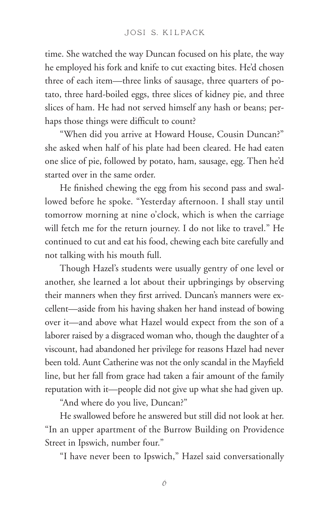## JOSI S. KILPACK

time. She watched the way Duncan focused on his plate, the way he employed his fork and knife to cut exacting bites. He'd chosen three of each item—three links of sausage, three quarters of potato, three hard-boiled eggs, three slices of kidney pie, and three slices of ham. He had not served himself any hash or beans; perhaps those things were difficult to count?

"When did you arrive at Howard House, Cousin Duncan?" she asked when half of his plate had been cleared. He had eaten one slice of pie, followed by potato, ham, sausage, egg. Then he'd started over in the same order.

He finished chewing the egg from his second pass and swallowed before he spoke. "Yesterday afternoon. I shall stay until tomorrow morning at nine o'clock, which is when the carriage will fetch me for the return journey. I do not like to travel." He continued to cut and eat his food, chewing each bite carefully and not talking with his mouth full.

Though Hazel's students were usually gentry of one level or another, she learned a lot about their upbringings by observing their manners when they first arrived. Duncan's manners were excellent—aside from his having shaken her hand instead of bowing over it—and above what Hazel would expect from the son of a laborer raised by a disgraced woman who, though the daughter of a viscount, had abandoned her privilege for reasons Hazel had never been told. Aunt Catherine was not the only scandal in the Mayfield line, but her fall from grace had taken a fair amount of the family reputation with it—people did not give up what she had given up.

"And where do you live, Duncan?"

He swallowed before he answered but still did not look at her. "In an upper apartment of the Burrow Building on Providence Street in Ipswich, number four."

"I have never been to Ipswich," Hazel said conversationally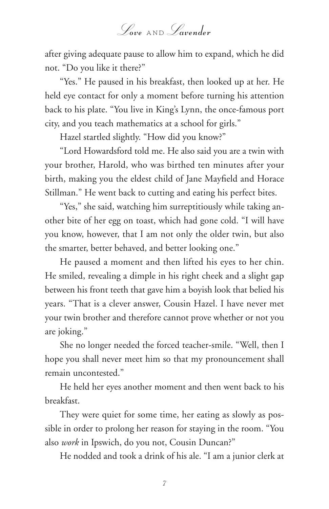Love AND Lavender

after giving adequate pause to allow him to expand, which he did not. "Do you like it there?"

"Yes." He paused in his breakfast, then looked up at her. He held eye contact for only a moment before turning his attention back to his plate. "You live in King's Lynn, the once-famous port city, and you teach mathematics at a school for girls."

Hazel startled slightly. "How did you know?"

"Lord Howardsford told me. He also said you are a twin with your brother, Harold, who was birthed ten minutes after your birth, making you the eldest child of Jane Mayfield and Horace Stillman." He went back to cutting and eating his perfect bites.

"Yes," she said, watching him surreptitiously while taking another bite of her egg on toast, which had gone cold. "I will have you know, however, that I am not only the older twin, but also the smarter, better behaved, and better looking one."

He paused a moment and then lifted his eyes to her chin. He smiled, revealing a dimple in his right cheek and a slight gap between his front teeth that gave him a boyish look that belied his years. "That is a clever answer, Cousin Hazel. I have never met your twin brother and therefore cannot prove whether or not you are joking."

She no longer needed the forced teacher-smile. "Well, then I hope you shall never meet him so that my pronouncement shall remain uncontested."

He held her eyes another moment and then went back to his breakfast.

They were quiet for some time, her eating as slowly as possible in order to prolong her reason for staying in the room. "You also *work* in Ipswich, do you not, Cousin Duncan?"

He nodded and took a drink of his ale. "I am a junior clerk at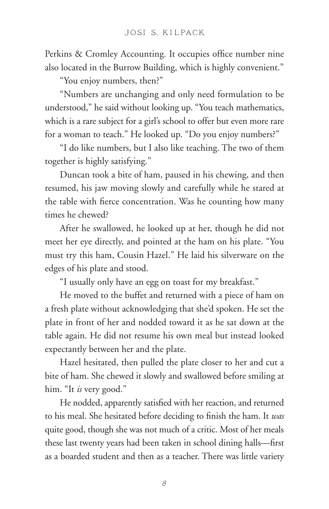Perkins & Cromley Accounting. It occupies office number nine also located in the Burrow Building, which is highly convenient."

"You enjoy numbers, then?"

"Numbers are unchanging and only need formulation to be understood," he said without looking up. "You teach mathematics, which is a rare subject for a girl's school to offer but even more rare for a woman to teach." He looked up. "Do you enjoy numbers?"

"I do like numbers, but I also like teaching. The two of them together is highly satisfying."

Duncan took a bite of ham, paused in his chewing, and then resumed, his jaw moving slowly and carefully while he stared at the table with fierce concentration. Was he counting how many times he chewed?

After he swallowed, he looked up at her, though he did not meet her eye directly, and pointed at the ham on his plate. "You must try this ham, Cousin Hazel." He laid his silverware on the edges of his plate and stood.

"I usually only have an egg on toast for my breakfast."

He moved to the buffet and returned with a piece of ham on a fresh plate without acknowledging that she'd spoken. He set the plate in front of her and nodded toward it as he sat down at the table again. He did not resume his own meal but instead looked expectantly between her and the plate.

Hazel hesitated, then pulled the plate closer to her and cut a bite of ham. She chewed it slowly and swallowed before smiling at him. "It *is* very good."

He nodded, apparently satisfied with her reaction, and returned to his meal. She hesitated before deciding to finish the ham. It *was* quite good, though she was not much of a critic. Most of her meals these last twenty years had been taken in school dining halls—first as a boarded student and then as a teacher. There was little variety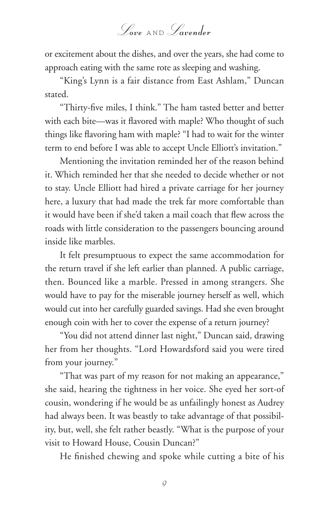## Love AND Lavender

or excitement about the dishes, and over the years, she had come to approach eating with the same rote as sleeping and washing.

"King's Lynn is a fair distance from East Ashlam," Duncan stated.

"Thirty-five miles, I think." The ham tasted better and better with each bite—was it flavored with maple? Who thought of such things like flavoring ham with maple? "I had to wait for the winter term to end before I was able to accept Uncle Elliott's invitation."

Mentioning the invitation reminded her of the reason behind it. Which reminded her that she needed to decide whether or not to stay. Uncle Elliott had hired a private carriage for her journey here, a luxury that had made the trek far more comfortable than it would have been if she'd taken a mail coach that flew across the roads with little consideration to the passengers bouncing around inside like marbles.

It felt presumptuous to expect the same accommodation for the return travel if she left earlier than planned. A public carriage, then. Bounced like a marble. Pressed in among strangers. She would have to pay for the miserable journey herself as well, which would cut into her carefully guarded savings. Had she even brought enough coin with her to cover the expense of a return journey?

"You did not attend dinner last night," Duncan said, drawing her from her thoughts. "Lord Howardsford said you were tired from your journey."

"That was part of my reason for not making an appearance," she said, hearing the tightness in her voice. She eyed her sort-of cousin, wondering if he would be as unfailingly honest as Audrey had always been. It was beastly to take advantage of that possibility, but, well, she felt rather beastly. "What is the purpose of your visit to Howard House, Cousin Duncan?"

He finished chewing and spoke while cutting a bite of his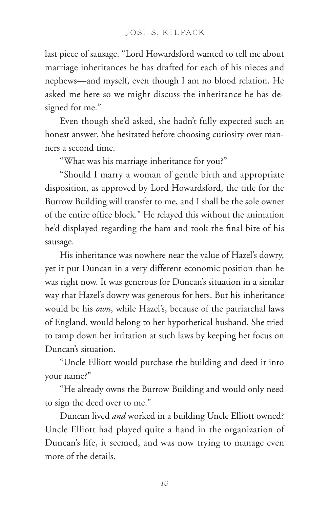last piece of sausage. "Lord Howardsford wanted to tell me about marriage inheritances he has drafted for each of his nieces and nephews—and myself, even though I am no blood relation. He asked me here so we might discuss the inheritance he has designed for me."

Even though she'd asked, she hadn't fully expected such an honest answer. She hesitated before choosing curiosity over manners a second time.

"What was his marriage inheritance for you?"

"Should I marry a woman of gentle birth and appropriate disposition, as approved by Lord Howardsford, the title for the Burrow Building will transfer to me, and I shall be the sole owner of the entire office block." He relayed this without the animation he'd displayed regarding the ham and took the final bite of his sausage.

His inheritance was nowhere near the value of Hazel's dowry, yet it put Duncan in a very different economic position than he was right now. It was generous for Duncan's situation in a similar way that Hazel's dowry was generous for hers. But his inheritance would be his *own*, while Hazel's, because of the patriarchal laws of England, would belong to her hypothetical husband. She tried to tamp down her irritation at such laws by keeping her focus on Duncan's situation.

"Uncle Elliott would purchase the building and deed it into your name?"

"He already owns the Burrow Building and would only need to sign the deed over to me."

Duncan lived *and* worked in a building Uncle Elliott owned? Uncle Elliott had played quite a hand in the organization of Duncan's life, it seemed, and was now trying to manage even more of the details.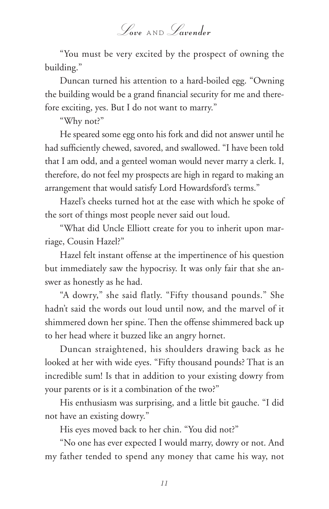Love AND Lavender

"You must be very excited by the prospect of owning the building."

Duncan turned his attention to a hard-boiled egg. "Owning the building would be a grand financial security for me and therefore exciting, yes. But I do not want to marry."

"Why not?"

He speared some egg onto his fork and did not answer until he had sufficiently chewed, savored, and swallowed. "I have been told that I am odd, and a genteel woman would never marry a clerk. I, therefore, do not feel my prospects are high in regard to making an arrangement that would satisfy Lord Howardsford's terms."

Hazel's cheeks turned hot at the ease with which he spoke of the sort of things most people never said out loud.

"What did Uncle Elliott create for you to inherit upon marriage, Cousin Hazel?"

Hazel felt instant offense at the impertinence of his question but immediately saw the hypocrisy. It was only fair that she answer as honestly as he had.

"A dowry," she said flatly. "Fifty thousand pounds." She hadn't said the words out loud until now, and the marvel of it shimmered down her spine. Then the offense shimmered back up to her head where it buzzed like an angry hornet.

Duncan straightened, his shoulders drawing back as he looked at her with wide eyes. "Fifty thousand pounds? That is an incredible sum! Is that in addition to your existing dowry from your parents or is it a combination of the two?"

His enthusiasm was surprising, and a little bit gauche. "I did not have an existing dowry."

His eyes moved back to her chin. "You did not?"

"No one has ever expected I would marry, dowry or not. And my father tended to spend any money that came his way, not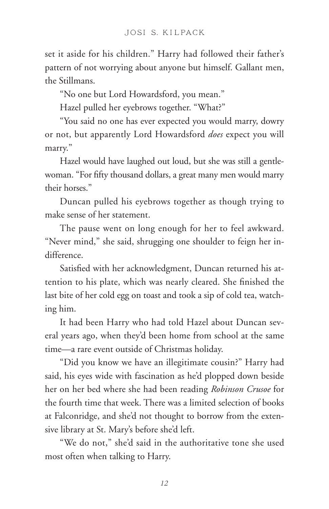set it aside for his children." Harry had followed their father's pattern of not worrying about anyone but himself. Gallant men, the Stillmans.

"No one but Lord Howardsford, you mean."

Hazel pulled her eyebrows together. "What?"

"You said no one has ever expected you would marry, dowry or not, but apparently Lord Howardsford *does* expect you will marry."

Hazel would have laughed out loud, but she was still a gentlewoman. "For fifty thousand dollars, a great many men would marry their horses."

Duncan pulled his eyebrows together as though trying to make sense of her statement.

The pause went on long enough for her to feel awkward. "Never mind," she said, shrugging one shoulder to feign her indifference.

Satisfied with her acknowledgment, Duncan returned his attention to his plate, which was nearly cleared. She finished the last bite of her cold egg on toast and took a sip of cold tea, watching him.

It had been Harry who had told Hazel about Duncan several years ago, when they'd been home from school at the same time—a rare event outside of Christmas holiday.

"Did you know we have an illegitimate cousin?" Harry had said, his eyes wide with fascination as he'd plopped down beside her on her bed where she had been reading *Robinson Crusoe* for the fourth time that week. There was a limited selection of books at Falconridge, and she'd not thought to borrow from the extensive library at St. Mary's before she'd left.

"We do not," she'd said in the authoritative tone she used most often when talking to Harry.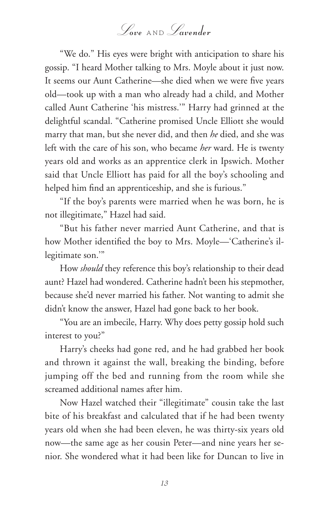Love AND Lavender

"We do." His eyes were bright with anticipation to share his gossip. "I heard Mother talking to Mrs. Moyle about it just now. It seems our Aunt Catherine—she died when we were five years old—took up with a man who already had a child, and Mother called Aunt Catherine 'his mistress.'" Harry had grinned at the delightful scandal. "Catherine promised Uncle Elliott she would marry that man, but she never did, and then *he* died, and she was left with the care of his son, who became *her* ward. He is twenty years old and works as an apprentice clerk in Ipswich. Mother said that Uncle Elliott has paid for all the boy's schooling and helped him find an apprenticeship, and she is furious."

"If the boy's parents were married when he was born, he is not illegitimate," Hazel had said.

"But his father never married Aunt Catherine, and that is how Mother identified the boy to Mrs. Moyle—'Catherine's illegitimate son.'"

How *should* they reference this boy's relationship to their dead aunt? Hazel had wondered. Catherine hadn't been his stepmother, because she'd never married his father. Not wanting to admit she didn't know the answer, Hazel had gone back to her book.

"You are an imbecile, Harry. Why does petty gossip hold such interest to you?"

Harry's cheeks had gone red, and he had grabbed her book and thrown it against the wall, breaking the binding, before jumping off the bed and running from the room while she screamed additional names after him.

Now Hazel watched their "illegitimate" cousin take the last bite of his breakfast and calculated that if he had been twenty years old when she had been eleven, he was thirty-six years old now—the same age as her cousin Peter—and nine years her senior. She wondered what it had been like for Duncan to live in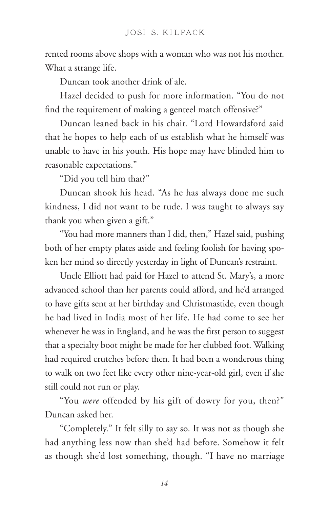rented rooms above shops with a woman who was not his mother. What a strange life.

Duncan took another drink of ale.

Hazel decided to push for more information. "You do not find the requirement of making a genteel match offensive?"

Duncan leaned back in his chair. "Lord Howardsford said that he hopes to help each of us establish what he himself was unable to have in his youth. His hope may have blinded him to reasonable expectations."

"Did you tell him that?"

Duncan shook his head. "As he has always done me such kindness, I did not want to be rude. I was taught to always say thank you when given a gift."

"You had more manners than I did, then," Hazel said, pushing both of her empty plates aside and feeling foolish for having spoken her mind so directly yesterday in light of Duncan's restraint.

Uncle Elliott had paid for Hazel to attend St. Mary's, a more advanced school than her parents could afford, and he'd arranged to have gifts sent at her birthday and Christmastide, even though he had lived in India most of her life. He had come to see her whenever he was in England, and he was the first person to suggest that a specialty boot might be made for her clubbed foot. Walking had required crutches before then. It had been a wonderous thing to walk on two feet like every other nine-year-old girl, even if she still could not run or play.

"You *were* offended by his gift of dowry for you, then?" Duncan asked her.

"Completely." It felt silly to say so. It was not as though she had anything less now than she'd had before. Somehow it felt as though she'd lost something, though. "I have no marriage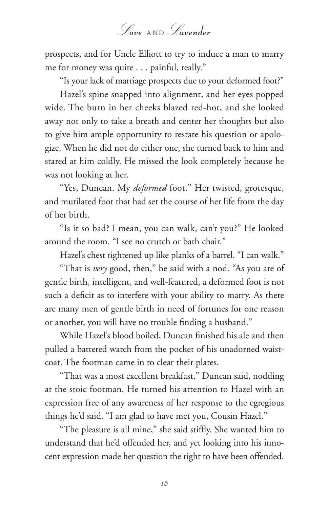Love AND Lavender

prospects, and for Uncle Elliott to try to induce a man to marry me for money was quite . . . painful, really."

"Is your lack of marriage prospects due to your deformed foot?"

Hazel's spine snapped into alignment, and her eyes popped wide. The burn in her cheeks blazed red-hot, and she looked away not only to take a breath and center her thoughts but also to give him ample opportunity to restate his question or apologize. When he did not do either one, she turned back to him and stared at him coldly. He missed the look completely because he was not looking at her.

"Yes, Duncan. My *deformed* foot." Her twisted, grotesque, and mutilated foot that had set the course of her life from the day of her birth.

"Is it so bad? I mean, you can walk, can't you?" He looked around the room. "I see no crutch or bath chair."

Hazel's chest tightened up like planks of a barrel. "I can walk."

"That is *very* good, then," he said with a nod. "As you are of gentle birth, intelligent, and well-featured, a deformed foot is not such a deficit as to interfere with your ability to marry. As there are many men of gentle birth in need of fortunes for one reason or another, you will have no trouble finding a husband."

While Hazel's blood boiled, Duncan finished his ale and then pulled a battered watch from the pocket of his unadorned waistcoat. The footman came in to clear their plates.

"That was a most excellent breakfast," Duncan said, nodding at the stoic footman. He turned his attention to Hazel with an expression free of any awareness of her response to the egregious things he'd said. "I am glad to have met you, Cousin Hazel."

"The pleasure is all mine," she said stiffly. She wanted him to understand that he'd offended her, and yet looking into his innocent expression made her question the right to have been offended.